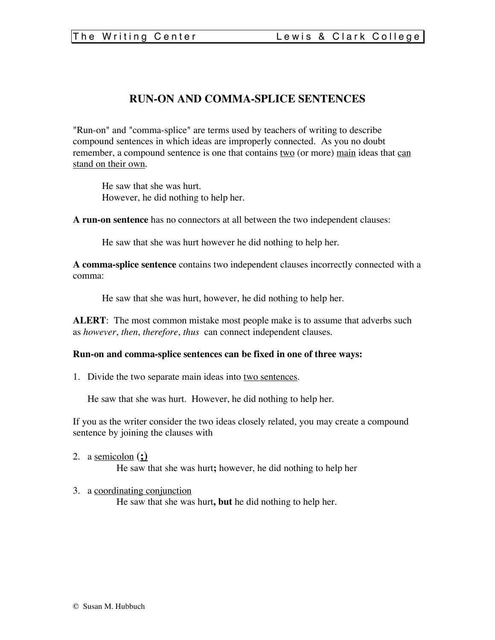## **RUN-ON AND COMMA-SPLICE SENTENCES**

"Run-on" and "comma-splice" are terms used by teachers of writing to describe compound sentences in which ideas are improperly connected. As you no doubt remember, a compound sentence is one that contains two (or more) main ideas that can stand on their own.

He saw that she was hurt. However, he did nothing to help her.

**A run-on sentence** has no connectors at all between the two independent clauses:

He saw that she was hurt however he did nothing to help her.

**A comma-splice sentence** contains two independent clauses incorrectly connected with a comma:

He saw that she was hurt, however, he did nothing to help her.

**ALERT**: The most common mistake most people make is to assume that adverbs such as *however*, *then*, *therefore*, *thus* can connect independent clauses.

## **Run-on and comma-splice sentences can be fixed in one of three ways:**

1. Divide the two separate main ideas into two sentences.

He saw that she was hurt. However, he did nothing to help her.

If you as the writer consider the two ideas closely related, you may create a compound sentence by joining the clauses with

2. a semicolon (**;)**

He saw that she was hurt**;** however, he did nothing to help her

3. a coordinating conjunction

He saw that she was hurt**, but** he did nothing to help her.